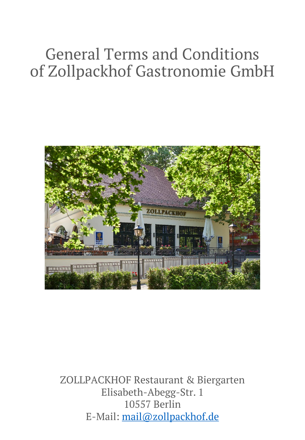# General Terms and Conditions of Zollpackhof Gastronomie GmbH



ZOLLPACKHOF Restaurant & Biergarten Elisabeth-Abegg-Str. 1 10557 Berlin E-Mail: [mail@zollpackhof.de](mailto:mail@zollpackhof.de)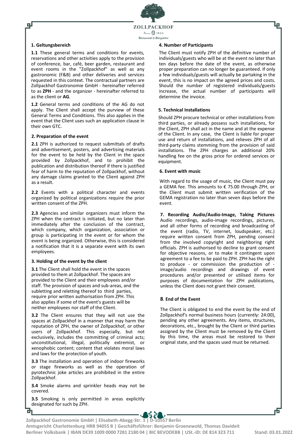ZOLLPACKHOF Anno  $\bigcirc$  1855 Restaurant & Riergarten

# **1. Geltungsbereich**

டி

**1.1** These general terms and conditions for events, reservations and other activities apply to the provision of conference, bar, café, beer garden, restaurant and event rooms in the "Zollpackhof" as well as any gastronomic (F&B) and other deliveries and services requested in this context. The contractual partners are Zollpackhof Gastronomie GmbH - hereinafter referred to as **ZPH** - and the organizer - hereinafter referred to as the client or **AG**.

**1.2** General terms and conditions of the AG do not apply. The Client shall accept the purview of these General Terms and Conditions. This also applies in the event that the Client uses such an application clause in their own GTC.

# **2. Preparation of the event**

**2.1** ZPH is authorized to request submittals of drafts and advertisement, posters, and advertising materials for the event to be held by the Client in the space provided by Zollpackhof, and to prohibit the publication and distribution thereof if there is justified fear of harm to the reputation of Zollpackhof, without any damage claims granted to the Client against ZPH as a result.

**2.2** Events with a political character and events organized by political organizations require the prior written consent of the ZPH.

**2.3** Agencies and similar organizers must inform the ZPH when the contract is initiated, but no later than immediately after the conclusion of the contract, which company, which organization, association or group is participating in the event or for whom the event is being organized. Otherwise, this is considered a notification that it is a separate event with its own employees.

### **3. Holding of the event by the client**

**3.1** The Client shall hold the event in the spaces provided to them at Zollpackhof. The spaces are provided to the Client and their employees and/or staff. The provision of spaces and sub-areas, and the subletting and reletting thereof to third parties, require prior written authorisation from ZPH. This also applies if some of the event's guests will be neither employees nor staff of the Client.

**3.2** The Client ensures that they will not use the spaces at Zollpackhof in a manner that may harm the reputation of ZPH, the owner of Zollpackhof, or other users of Zollpackhof. This especially, but not exclusively, includes the committing of criminal acts; unconstitutional, illegal, politically extremist, or xenophobic content; content that violates moral laws and laws for the protection of youth.

**3.3** The installation and operation of indoor fireworks or stage fireworks as well as the operation of pyrotechnic joke articles are prohibited in the entire Zollpackhof.

**3.4** Smoke alarms and sprinkler heads may not be covered.

**3.5** Smoking is only permitted in areas explicitly designated for such by ZPH.

в

#### **4. Number of Participants**

The Client must notify ZPH of the definitive number of individuals/guests who will be at the event no later than ten days before the date of the event, as otherwise proper preparation can no longer be guaranteed. If only a few individuals/guests will actually be partaking in the event, this is no impact on the agreed prices and costs. Should the number of registered individuals/guests increase, the actual number of participants will determine the invoice.

## **5. Technical Installations**

Should ZPH procure technical or other installations from third parties, or already possess such installations, for the Client, ZPH shall act in the name and at the expense of the Client. In any case, the Client is liable for proper use and return of installations, and relieves ZPH of all third-party claims stemming from the provision of said installations. The ZPH charges an additional 20% handling fee on the gross price for ordered services or equipment.

### **6. Event with music**

With regard to the usage of music, the Client must pay a GEMA fee. This amounts to € 75.00 through ZPH, or the Client must submit written verification of the GEMA registration no later than seven days before the event.

**7. Recording Audio/Audio-Image, Taking Pictures** Audio recordings, audio-image recordings, pictures, and all other forms of recording and broadcasting of the event (radio, TV, internet, loudspeaker, etc.) require written consent from ZPH, pending consent from the involved copyright and neighboring right officials. ZPH is authorised to decline to grant consent for objective reasons, or to make it contingent upon agreement to a fee to be paid to ZPH. ZPH has the right to produce - or commission the production of image/audio recordings and drawings of event procedures and/or presented or utilised items for purposes of documentation for ZPH publications, unless the Client does not grant their consent.

### **8**. **End of the Event**

The Client is obligated to end the event by the end of Zollpackhof's normal business hours (currently: 24:00), pending any other agreements. Any items, structures, decorations, etc., brought by the Client or third parties assigned by the Client must be removed by the Client by this time, the areas must be restored to their original state, and the spaces used must be returned.

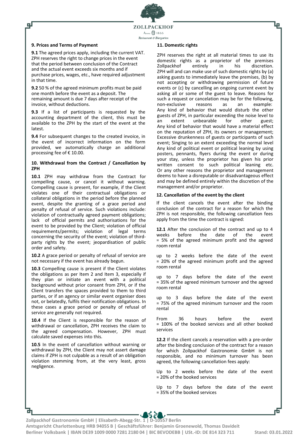

## **9. Prices and Terms of Payment**

டி

**9.1** The agreed prices apply, including the current VAT. ZPH reserves the right to change prices in the event that the period between conclusion of the Contract and the actual event exceeds six months and if purchase prices, wages, etc., have required adjustment in that time.

**9.2** 50 % of the agreed minimum profits must be paid one month before the event as a deposit. The remaining amount is due 7 days after receipt of the invoice, without deductions.

**9.3** If a list of participants is requested by the accounting department of the client, this must be available to the ZPH by the start of the event at the latest.

**9.4** For subsequent changes to the created invoice, in the event of incorrect information on the form provided, we automatically charge an additional processing fee of € 10.00.

## **10. Withdrawal from the Contract / Cancellation by ZPH**

**10.1** ZPH may withdraw from the Contract for compelling cause, or cancel it without warning. Compelling cause is present, for example, if the Client violates one of their contractual obligations or collateral obligations in the period before the planned event, despite the granting of a grace period and penalty of refusal of service. Such violations include: violation of contractually agreed payment obligations; lack of official permits and authorisations for the event to be provided by the Client; violation of official requirements/permits; violation of legal terms concerning the security of the event; violation of thirdparty rights by the event; jeopardisation of public order and safety.

**10.2** A grace period or penalty of refusal of service are not necessary if the event has already begun.

**10.3** Compelling cause is present if the Client violates the obligations as per Item 2 and Item 3, especially if they plan or initiate an event with a political background without prior consent from ZPH, or if the Client transfers the spaces provided to them to third parties, or if an agency or similar event organiser does not, or belatedly, fulfils their notification obligations. In these cases a grace period or penalty of refusal of service are generally not required.

**10.4** If the Client is responsible for the reason of withdrawal or cancellation, ZPH receives the claim to the agreed compensation. However, ZPH must calculate saved expenses into this.

**10.5** In the event of cancellation without warning or withdrawal by ZPH, the Client may not assert damage claims if ZPH is not culpable as a result of an obligation violation stemming from, at the very least, gross negligence.

#### **11. Domestic rights**

ZPH reserves the right at all material times to use its domestic rights as a proprietor of the premises<br>Zollpackhof entirely in his discretion. Zollpackhof ZPH will and can make use of such domestic rights by (a) asking guests to immediately leave the premises, (b) by not accepting or withdrawing permission of future events or (c) by cancelling an ongoing current event by asking all or some of the guest to leave. Reasons for such a request or cancelation may be for the following, non-exclusive reasons as an example: Any kind of behavior that would disturb the other guests of ZPH, in particular exceeding the noise level to an extent unbearable for other guest; Any kind of behavior that would have a material effect on the reputation of ZPH, its owners or management; Excessive drunkenness of guests or participants of such event; Singing to an extent exceeding the normal level Any kind of political event or political leaning by using posters, pennants, flyers during the event or during your stay, unless the proprietor has given his prior written consent to such political leaning etc. Or any other reasons the proprietor and management deems to have a disreputable or disadvantageous effect and may be defined entirely within the discretion of the management and/or proprietor.

Ļp

### **12. Cancellation of the event by the client**

If the client cancels the event after the binding conclusion of the contract for a reason for which the ZPH is not responsible, the following cancellation fees apply from the time the contract is signed:

**12.1** After the conclusion of the contract and up to 4 weeks before the date of the event before the date of the event = 5% of the agreed minimum profit and the agreed room rental

up to 2 weeks before the date of the event = 20% of the agreed minimum profit and the agreed room rental

up to 7 days before the date of the event = 35% of the agreed minimum turnover and the agreed room rental

up to 3 days before the date of the event = 75% of the agreed minimum turnover and the room rental

From 36 hours before the event = 100% of the booked services and all other booked services

**12.2** If the client cancels a reservation with a pre-order after the binding conclusion of the contract for a reason for which Zollpackhof Gastronomie GmbH is not responsible, and no minimum turnover has been agreed, the following cancellation fees apply:

Up to 2 weeks before the date of the event = 20% of the booked services

Up to 7 days before the date of the event = 35% of the booked services

**Zollpackhof Gastronomie GmbH | Elisabeth-Abegg-Str. 1 | D-10557 Berlin** 

**Amtsgericht Charlottenburg HRB 94055 B | Geschäftsführer: Benjamin Groenewold, Thomas Davideit Berliner Volksbank | IBAN DE39 1009 0000 7281 2180 04 | BIC BEVODEBB | USt.-ID: DE 814 323 711 Stand: 03.01.2022**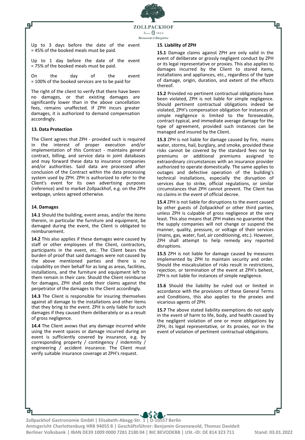

Up to 3 days before the date of the event = 45% of the booked meals must be paid.

Up to 1 day before the date of the event = 75% of the booked meals must be paid.

On the day of the event = 100% of the booked services are to be paid for

The right of the client to verify that there have been no damages, or that existing damages are significantly lower than in the above cancellation fees, remains unaffected. If ZPH incurs greater damages, it is authorized to demand compensation accordingly.

# **13. Data Protection**

டி

The Client agrees that ZPH - provided such is required in the interest of proper execution and/or implementation of this Contract - maintains general contract, billing, and service data in joint databases and may forward these data to insurance companies and/or authorities. Said data are processed after conclusion of the Contract within the data processing system used by ZPH. ZPH is authorized to refer to the Client's event for its own advertising purposes (reference) and to market Zollpackhof, e.g. on the ZPH webpage, unless agreed otherwise.

#### **14. Damages**

**14.1** Should the building, event areas, and/or the items therein, in particular the furniture and equipment, be damaged during the event, the Client is obligated to reimbursement.

**14.2** This also applies if these damages were caused by staff or other employees of the Client, contractors, participants in the event, etc. The Client bears the burden of proof that said damages were not caused by the above mentioned parties and there is no culpability on their behalf for as long as areas, facilities, installations, and the furniture and equipment left to them remain in their care. Should the Client reimburse for damages, ZPH shall cede their claims against the perpetrator of the damages to the Client accordingly.

14.3 The Client is responsible for insuring themselves against all damage to the installations and other items that they bring to the event. ZPH is only liable for such damages if they caused them deliberately or as a result of gross negligence.

**14.4** The Client avows that any damage incurred while using the event spaces or damage incurred during an event is sufficiently covered by insurance, e.g. by corresponding property / contingency / indemnity / engineering / accident insurance. The Client must verify suitable insurance coverage at ZPH's request.

#### **15**. **Liability of ZPH**

**15.1** Damage claims against ZPH are only valid in the event of deliberate or grossly negligent conduct by ZPH or its legal representative or proxies. This also applies to damages incurred by the Client to stored items, installations and appliances, etc., regardless of the type of damage, origin, duration, and extent of the effects thereof.

**15.2** Provided no pertinent contractual obligations have been violated, ZPH is not liable for simple negligence. Should pertinent contractual obligations indeed be violated, ZPH's compensation obligation for instances of simple negligence is limited to the foreseeable, contract-typical, and immediate average damage for the type of agreement, provided such instances can be managed and insured by the Client.

**15.3** ZPH is not liable for damage caused by fire, mains water, storms, hail, burglary, and smoke, provided these risks cannot be covered by the standard fees nor by premiums or additional premiums assigned to extraordinary circumstances with an insurance provider authorized to operate domestically. The same applies to outages and defective operation of the building's technical installations, especially the disruption of services due to strike, official regulations, or similar circumstances that ZPH cannot prevent. The Client has no claims in the event of official decree.

**15.4** ZPH is not liable for disruptions to the event caused by other guests of Zollpackhof or other third parties, unless ZPH is culpable of gross negligence at the very least. This also means that ZPH makes no guarantee that the supply companies will not change or suspend the manner, quality, pressure, or voltage of their services (mains, gas, water, fuel, air conditioning, etc.). However, ZPH shall attempt to help remedy any reported disruptions.

**15.5** ZPH is not liable for damage caused by measures implemented by ZPH to maintain security and order. Should the miscalculation of risks result in restrictions, rejection, or termination of the event at ZPH's behest, ZPH is not liable for instances of simple negligence.

**15.6** Should the liability be ruled out or limited in accordance with the provisions of these General Terms and Conditions, this also applies to the proxies and vicarious agents of ZPH.

**15.7** The above stated liability exemptions do not apply in the event of harm to life, body, and health caused by the negligent violation of one or more obligations by ZPH, its legal representative, or its proxies, nor in the event of violation of pertinent contractual obligations.